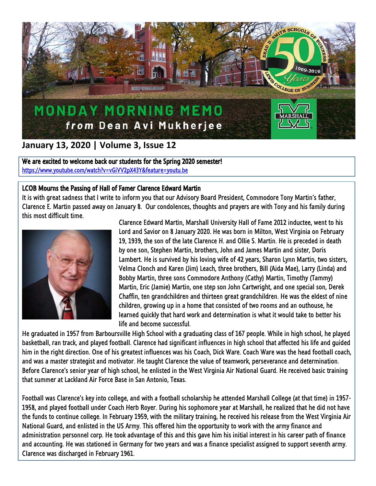

## **January 13, 2020 | Volume 3, Issue 12**

We are excited to welcome back our students for the Spring 2020 semester! <https://www.youtube.com/watch?v=vGiVV2pX43Y&feature=youtu.be>

## LCOB Mourns the Passing of Hall of Famer Clarence Edward Martin

It is with great sadness that I write to inform you that our Advisory Board President, Commodore Tony Martin's father, Clarence E. Martin passed away on January 8. Our condolences, thoughts and prayers are with Tony and his family during this most difficult time.



I

Clarence Edward Martin, Marshall University Hall of Fame 2012 inductee, went to his Lord and Savior on 8 January 2020. He was born in Milton, West Virginia on February 19, 1939, the son of the late Clarence H. and Ollie S. Martin. He is preceded in death by one son, Stephen Martin, brothers, John and James Martin and sister, Doris Lambert. He is survived by his loving wife of 42 years, Sharon Lynn Martin, two sisters, Velma Clonch and Karen (Jim) Leach, three brothers, Bill (Aida Mae), Larry (Linda) and Bobby Martin, three sons Commodore Anthony (Cathy) Martin, Timothy (Tammy) Martin, Eric (Jamie) Martin, one step son John Cartwright, and one special son, Derek Chaffin, ten grandchildren and thirteen great grandchildren. He was the eldest of nine children, growing up in a home that consisted of two rooms and an outhouse, he learned quickly that hard work and determination is what it would take to better his life and become successful.

He graduated in 1957 from Barboursville High School with a graduating class of 167 people. While in high school, he played basketball, ran track, and played football. Clarence had significant influences in high school that affected his life and guided him in the right direction. One of his greatest influences was his Coach, Dick Ware. Coach Ware was the head football coach, and was a master strategist and motivator. He taught Clarence the value of teamwork, perseverance and determination. Before Clarence's senior year of high school, he enlisted in the West Virginia Air National Guard. He received basic training that summer at Lackland Air Force Base in San Antonio, Texas.

Football was Clarence's key into college, and with a football scholarship he attended Marshall College (at that time) in 1957- 1958, and played football under Coach Herb Royer. During his sophomore year at Marshall, he realized that he did not have the funds to continue college. In February 1959, with the military training, he received his release from the West Virginia Air National Guard, and enlisted in the US Army. This offered him the opportunity to work with the army finance and administration personnel corp. He took advantage of this and this gave him his initial interest in his career path of finance and accounting. He was stationed in Germany for two years and was a finance specialist assigned to support seventh army. Clarence was discharged in February 1961.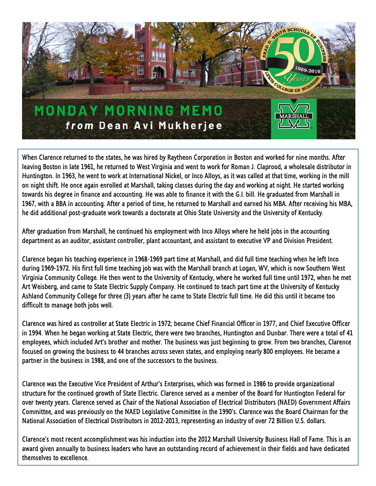

When Clarence returned to the states, he was hired by Raytheon Corporation in Boston and worked for nine months. After leaving Boston in late 1961, he returned to West Virginia and went to work for Roman J. Claprood, a wholesale distributor in Huntington. In 1963, he went to work at International Nickel, or Inco Alloys, as it was called at that time, working in the mill on night shift. He once again enrolled at Marshall, taking classes during the day and working at night. He started working towards his degree in finance and accounting. He was able to finance it with the G.I. bill. He graduated from Marshall in 1967, with a BBA in accounting. After a period of time, he returned to Marshall and earned his MBA. After receiving his MBA, he did additional post-graduate work towards a doctorate at Ohio State University and the University of Kentucky.

After graduation from Marshall, he continued his employment with Inco Alloys where he held jobs in the accounting department as an auditor, assistant controller, plant accountant, and assistant to executive VP and Division President.

Clarence began his teaching experience in 1968-1969 part time at Marshall, and did full time teaching when he left Inco during 1969-1972. His first full time teaching job was with the Marshall branch at Logan, WV, which is now Southern West Virginia Community College. He then went to the University of Kentucky, where he worked full time until 1972, when he met Art Weisberg, and came to State Electric Supply Company. He continued to teach part time at the University of Kentucky Ashland Community College for three (3) years after he came to State Electric full time. He did this until it became too difficult to manage both jobs well.

Clarence was hired as controller at State Electric in 1972; became Chief Financial Officer in 1977, and Chief Executive Officer in 1994. When he began working at State Electric, there were two branches, Huntington and Dunbar. There were a total of 41 employees, which included Art's brother and mother. The business was just beginning to grow. From two branches, Clarence focused on growing the business to 44 branches across seven states, and employing nearly 800 employees. He became a partner in the business in 1988, and one of the successors to the business.

Clarence was the Executive Vice President of Arthur's Enterprises, which was formed in 1986 to provide organizational structure for the continued growth of State Electric. Clarence served as a member of the Board for Huntington Federal for over twenty years. Clarence served as Chair of the National Association of Electrical Distributors (NAED) Government Affairs Committee, and was previously on the NAED Legislative Committee in the 1990's. Clarence was the Board Chairman for the National Association of Electrical Distributors in 2012-2013, representing an industry of over 72 Billion U.S. dollars.

Clarence's most recent accomplishment was his induction into the 2012 Marshall University Business Hall of Fame. This is an award given annually to business leaders who have an outstanding record of achievement in their fields and have dedicated themselves to excellence.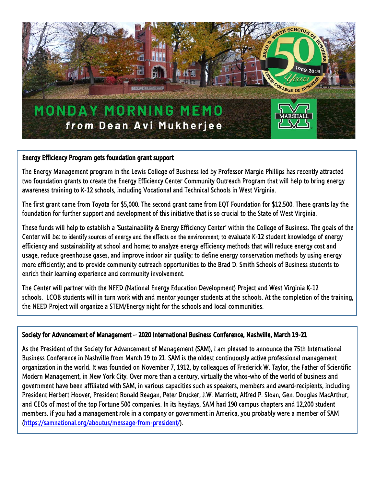

## Energy Efficiency Program gets foundation grant support

The Energy Management program in the Lewis College of Business led by Professor Margie Phillips has recently attracted two foundation grants to create the Energy Efficiency Center Community Outreach Program that will help to bring energy awareness training to K-12 schools, including Vocational and Technical Schools in West Virginia.

The first grant came from Toyota for \$5,000. The second grant came from EQT Foundation for \$12,500. These grants lay the foundation for further support and development of this initiative that is so crucial to the State of West Virginia.

These funds will help to establish a 'Sustainability & Energy Efficiency Center' within the College of Business. The goals of the Center will be: to identify sources of energy and the effects on the environment; to evaluate K-12 student knowledge of energy efficiency and sustainability at school and home; to analyze energy efficiency methods that will reduce energy cost and usage, reduce greenhouse gases, and improve indoor air quality; to define energy conservation methods by using energy more efficiently; and to provide community outreach opportunities to the Brad D. Smith Schools of Business students to enrich their learning experience and community involvement.

The Center will partner with the NEED (National Energy Education Development) Project and West Virginia K-12 schools. LCOB students will in turn work with and mentor younger students at the schools. At the completion of the training, the NEED Project will organize a STEM/Energy night for the schools and local communities.

## Society for Advancement of Management – 2020 International Business Conference, Nashville, March 19-21

As the President of the Society for Advancement of Management (SAM), I am pleased to announce the 75th International Business Conference in Nashville from March 19 to 21. SAM is the oldest continuously active professional management organization in the world. It was founded on November 7, 1912, by colleagues of Frederick W. Taylor, the Father of Scientific Modern Management, in New York City. Over more than a century, virtually the whos-who of the world of business and government have been affiliated with SAM, in various capacities such as speakers, members and award-recipients, including President Herbert Hoover, President Ronald Reagan, Peter Drucker, J.W. Marriott, Alfred P. Sloan, Gen. Douglas MacArthur, and CEOs of most of the top Fortune 500 companies. In its heydays, SAM had 190 campus chapters and 12,200 student members. If you had a management role in a company or government in America, you probably were a member of SAM [\(https://samnational.org/aboutus/message-from-president/\)](https://samnational.org/aboutus/message-from-president/).